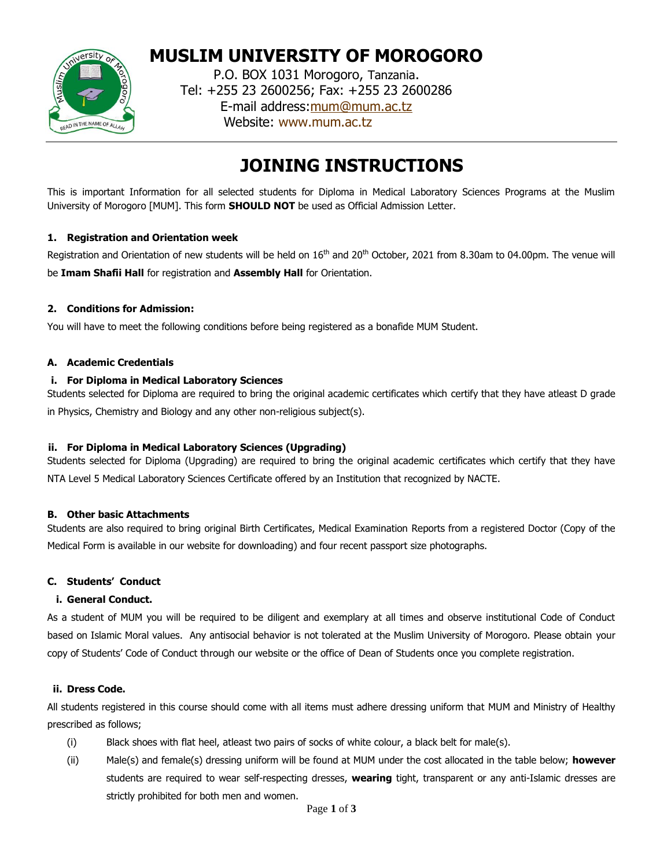

**MUSLIM UNIVERSITY OF MOROGORO**

P.O. BOX 1031 Morogoro, Tanzania. Tel: +255 23 2600256; Fax: +255 23 2600286 E-mail address[:mum@mum.ac.tz](mailto:mum@mum.ac.tz) Website: [www.mum.ac.tz](http://www.mum.ac.tz/)

# **JOINING INSTRUCTIONS**

This is important Information for all selected students for Diploma in Medical Laboratory Sciences Programs at the Muslim University of Morogoro [MUM]. This form **SHOULD NOT** be used as Official Admission Letter.

## **1. Registration and Orientation week**

Registration and Orientation of new students will be held on 16<sup>th</sup> and 20<sup>th</sup> October, 2021 from 8.30am to 04.00pm. The venue will be **Imam Shafii Hall** for registration and **Assembly Hall** for Orientation.

## **2. Conditions for Admission:**

You will have to meet the following conditions before being registered as a bonafide MUM Student.

#### **A. Academic Credentials**

## **i. For Diploma in Medical Laboratory Sciences**

Students selected for Diploma are required to bring the original academic certificates which certify that they have atleast D grade in Physics, Chemistry and Biology and any other non-religious subject(s).

# **ii. For Diploma in Medical Laboratory Sciences (Upgrading)**

Students selected for Diploma (Upgrading) are required to bring the original academic certificates which certify that they have NTA Level 5 Medical Laboratory Sciences Certificate offered by an Institution that recognized by NACTE.

# **B. Other basic Attachments**

Students are also required to bring original Birth Certificates, Medical Examination Reports from a registered Doctor (Copy of the Medical Form is available in our website for downloading) and four recent passport size photographs.

#### **C. Students' Conduct**

#### **i. General Conduct.**

As a student of MUM you will be required to be diligent and exemplary at all times and observe institutional Code of Conduct based on Islamic Moral values. Any antisocial behavior is not tolerated at the Muslim University of Morogoro. Please obtain your copy of Students' Code of Conduct through our website or the office of Dean of Students once you complete registration.

#### **ii. Dress Code.**

All students registered in this course should come with all items must adhere dressing uniform that MUM and Ministry of Healthy prescribed as follows;

- (i) Black shoes with flat heel, atleast two pairs of socks of white colour, a black belt for male(s).
- (ii) Male(s) and female(s) dressing uniform will be found at MUM under the cost allocated in the table below; **however** students are required to wear self-respecting dresses, **wearing** tight, transparent or any anti-Islamic dresses are strictly prohibited for both men and women.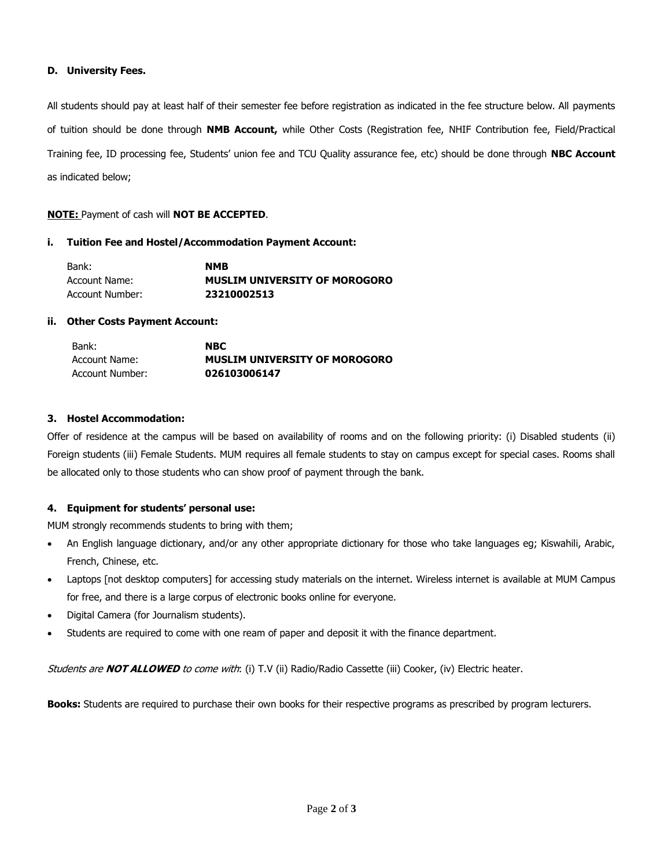#### **D. University Fees.**

All students should pay at least half of their semester fee before registration as indicated in the fee structure below. All payments of tuition should be done through **NMB Account,** while Other Costs (Registration fee, NHIF Contribution fee, Field/Practical Training fee, ID processing fee, Students' union fee and TCU Quality assurance fee, etc) should be done through **NBC Account**  as indicated below;

#### **NOTE:** Payment of cash will **NOT BE ACCEPTED**.

#### **i. Tuition Fee and Hostel/Accommodation Payment Account:**

| Bank:           | <b>NMB</b>                           |
|-----------------|--------------------------------------|
| Account Name:   | <b>MUSLIM UNIVERSITY OF MOROGORO</b> |
| Account Number: | 23210002513                          |

#### **ii. Other Costs Payment Account:**

| Bank:           | <b>NBC</b>                           |
|-----------------|--------------------------------------|
| Account Name:   | <b>MUSLIM UNIVERSITY OF MOROGORO</b> |
| Account Number: | 026103006147                         |

#### **3. Hostel Accommodation:**

Offer of residence at the campus will be based on availability of rooms and on the following priority: (i) Disabled students (ii) Foreign students (iii) Female Students. MUM requires all female students to stay on campus except for special cases. Rooms shall be allocated only to those students who can show proof of payment through the bank.

#### **4. Equipment for students' personal use:**

MUM strongly recommends students to bring with them;

- An English language dictionary, and/or any other appropriate dictionary for those who take languages eg; Kiswahili, Arabic, French, Chinese, etc.
- Laptops [not desktop computers] for accessing study materials on the internet. Wireless internet is available at MUM Campus for free, and there is a large corpus of electronic books online for everyone.
- Digital Camera (for Journalism students).
- Students are required to come with one ream of paper and deposit it with the finance department.

Students are **NOT ALLOWED** to come with: (i) T.V (ii) Radio/Radio Cassette (iii) Cooker, (iv) Electric heater.

**Books:** Students are required to purchase their own books for their respective programs as prescribed by program lecturers.